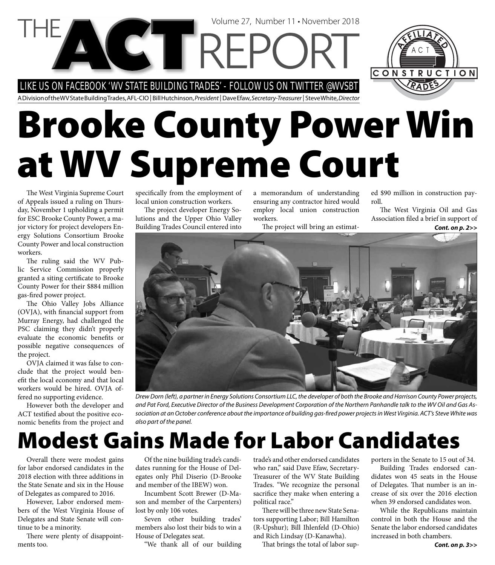LIKE US ON FACEBOOK 'WV STATE BUILDING TRADES' - FOLLOW US ON TWITTER @WVSBT



A Division of the WV State Building Trades, AFL-CIO | Bill Hutchinson, President | Dave Efaw, Secretary-Treasurer | Steve White, Director

# **Brooke County Power Win at WV Supreme Court**

Volume 27, Number 11 • November 2018

The West Virginia Supreme Court of Appeals issued a ruling on Thursday, November 1 upholding a permit for ESC Brooke County Power, a major victory for project developers Energy Solutions Consortium Brooke County Power and local construction workers.

The ruling said the WV Public Service Commission properly granted a siting certificate to Brooke County Power for their \$884 million gas-fired power project.

The Ohio Valley Jobs Alliance (OVJA), with financial support from Murray Energy, had challenged the PSC claiming they didn't properly evaluate the economic benefits or possible negative consequences of the project.

OVJA claimed it was false to conclude that the project would benefit the local economy and that local workers would be hired. OVJA offered no supporting evidence.

However both the developer and ACT testified about the positive economic benefits from the project and specifically from the employment of local union construction workers.

The project developer Energy Solutions and the Upper Ohio Valley Building Trades Council entered into

a memorandum of understanding ensuring any contractor hired would employ local union construction workers.

The project will bring an estimat-

ed \$90 million in construction payroll.

The West Virginia Oil and Gas Association filed a brief in support of

*Cont. on p. 2>>*



Drew Dorn (left), a partner in Energy Solutions Consortium LLC, the developer of both the Brooke and Harrison County Power projects, and Pat Ford, Executive Director of the Business Development Corporation of the Northern Panhandle talk to the WV Oil and Gas Association at an October conference about the importance of building gas-fired power projects in West Virginia. ACT's Steve White was also part of the panel.

## **Modest Gains Made for Labor Candidates**

Overall there were modest gains for labor endorsed candidates in the 2018 election with three additions in the State Senate and six in the House of Delegates as compared to 2016.

However, Labor endorsed members of the West Virginia House of Delegates and State Senate will continue to be a minority.

There were plenty of disappointments too.

Of the nine building trade's candidates running for the House of Delegates only Phil Diserio (D-Brooke and member of the IBEW) won.

Incumbent Scott Brewer (D-Mason and member of the Carpenters) lost by only 106 votes.

Seven other building trades' members also lost their bids to win a House of Delegates seat.

"We thank all of our building

trade's and other endorsed candidates who ran," said Dave Efaw, Secretary-Treasurer of the WV State Building Trades. "We recognize the personal sacrifice they make when entering a political race."

There will be three new State Senators supporting Labor; Bill Hamilton (R-Upshur); Bill Ihlenfeld (D-Ohio) and Rich Lindsay (D-Kanawha).

That brings the total of labor sup-

porters in the Senate to 15 out of 34. Building Trades endorsed candidates won 45 seats in the House of Delegates. That number is an increase of six over the 2016 election when 39 endorsed candidates won.

While the Republicans maintain control in both the House and the Senate the labor endorsed candidates increased in both chambers.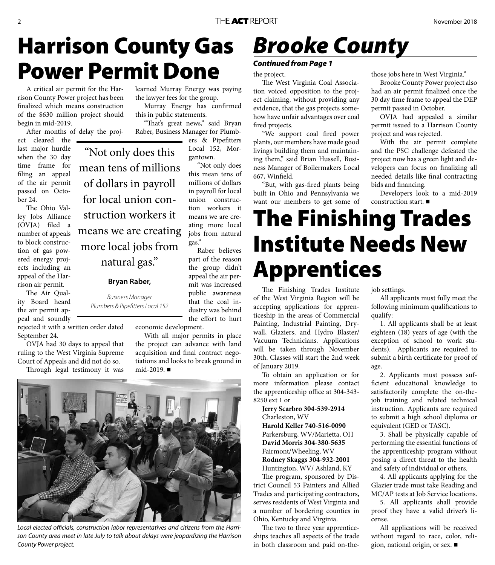# **Harrison County Gas Power Permit Done**

"Not only does this

mean tens of millions

of dollars in payroll

for local union con-

struction workers it

means we are creating

more local jobs from

natural gas."

**Bryan Raber,** 

Business Manager Plumbers & Pipefitters Local 152

A critical air permit for the Harrison County Power project has been finalized which means construction of the \$630 million project should begin in mid-2019.

After months of delay the proj-

ect cleared the last major hurdle when the 30 day time frame for filing an appeal of the air permit passed on October 24.

The Ohio Valley Jobs Alliance (OVJA) filed a number of appeals to block construction of gas powered energy projects including an appeal of the Harrison air permit.

The Air Quality Board heard the air permit appeal and soundly

rejected it with a written order dated September 24.

OVJA had 30 days to appeal that ruling to the West Virginia Supreme Court of Appeals and did not do so.

Through legal testimony it was

learned Murray Energy was paying the lawyer fees for the group.

Murray Energy has confirmed this in public statements.

"That's great news," said Bryan Raber, Business Manager for Plumb-

ers & Pipefitters Local 152, Morgantown.

"Not only does this mean tens of millions of dollars in payroll for local union construction workers it means we are creating more local jobs from natural gas."

Raber believes part of the reason the group didn't appeal the air permit was increased public awareness that the coal industry was behind the effort to hurt

economic development.

With all major permits in place the project can advance with land acquisition and final contract negotiations and looks to break ground in mid-2019. ■



Local elected officials, construction labor representatives and citizens from the Harrison County area meet in late July to talk about delays were jeopardizing the Harrison County Power project.

# *Brooke County*

#### *Continued from Page 1*

the project.

The West Virginia Coal Association voiced opposition to the project claiming, without providing any evidence, that the gas projects somehow have unfair advantages over coal fired projects.

"We support coal fired power plants, our members have made good livings building them and maintaining them," said Brian Hussell, Business Manager of Boilermakers Local 667, Winfield.

"But, with gas-fired plants being built in Ohio and Pennsylvania we want our members to get some of those jobs here in West Virginia."

Brooke County Power project also had an air permit finalized once the 30 day time frame to appeal the DEP permit passed in October.

OVJA had appealed a similar permit issued to a Harrison County project and was rejected.

With the air permit complete and the PSC challenge defeated the project now has a green light and developers can focus on finalizing all needed details like final contracting bids and financing.

Developers look to a mid-2019 construction start.

# **The Finishing Trades Institute Needs New Apprentices**

The Finishing Trades Institute of the West Virginia Region will be accepting applications for apprenticeship in the areas of Commercial Painting, Industrial Painting, Drywall, Glaziers, and Hydro Blaster/ Vacuum Technicians. Applications will be taken through November 30th. Classes will start the 2nd week of January 2019.

To obtain an application or for more information please contact the apprenticeship office at 304-343-8250 ext 1 or

**Jerry Scarbro 304-539-2914** Charleston, WV **Harold Keller 740-516-0090** Parkersburg, WV/Marietta, OH **David Morris 304-380-5635** Fairmont/Wheeling, WV **Rodney Skaggs 304-932-2001** Huntington, WV/ Ashland, KY

The program, sponsored by District Council 53 Painters and Allied Trades and participating contractors, serves residents of West Virginia and a number of bordering counties in Ohio, Kentucky and Virginia.

The two to three year apprenticeships teaches all aspects of the trade in both classroom and paid on-thejob settings.

All applicants must fully meet the following minimum qualifications to qualify:

1. All applicants shall be at least eighteen (18) years of age (with the exception of school to work students). Applicants are required to submit a birth certificate for proof of age.

2. Applicants must possess sufficient educational knowledge to satisfactorily complete the on-thejob training and related technical instruction. Applicants are required to submit a high school diploma or equivalent (GED or TASC).

3. Shall be physically capable of performing the essential functions of the apprenticeship program without posing a direct threat to the health and safety of individual or others.

4. All applicants applying for the Glazier trade must take Reading and MC/AP tests at Job Service locations.

5. All applicants shall provide proof they have a valid driver's license.

All applications will be received without regard to race, color, religion, national origin, or sex.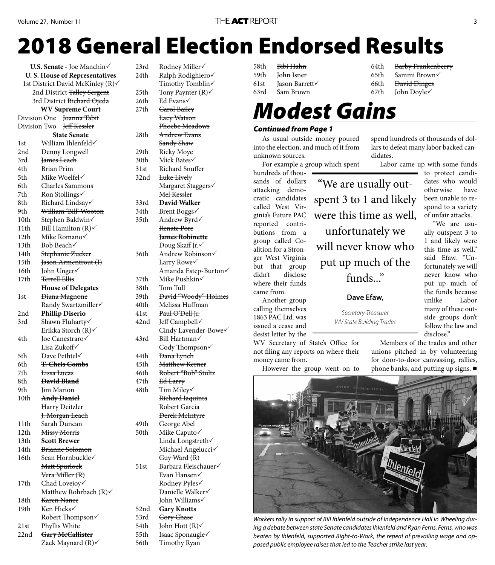# **2018 General Election Endorsed Results**

| <b>U.S. Senate</b> - Joe Manchin√      |                                 |  |  |  |  |
|----------------------------------------|---------------------------------|--|--|--|--|
| <b>U.S. House of Representatives</b>   |                                 |  |  |  |  |
| 1st District David McKinley (R)√       |                                 |  |  |  |  |
| 2nd District <del>Talley Sergent</del> |                                 |  |  |  |  |
| 3rd District <del>Richard Ojeda</del>  |                                 |  |  |  |  |
| <b>WV Supreme Court</b>                |                                 |  |  |  |  |
|                                        | Joanna Tabit<br>Division One    |  |  |  |  |
| Jeff Kessler<br>Division Two           |                                 |  |  |  |  |
|                                        | <b>State Senate</b>             |  |  |  |  |
| 1st                                    | William Ihlenfeld√              |  |  |  |  |
| 2nd                                    | <b>Denny Longwell</b>           |  |  |  |  |
| 3rd                                    | James Leach                     |  |  |  |  |
| 4th                                    | <b>Brian Prim</b>               |  |  |  |  |
| 5th                                    | Mike Woelfel√                   |  |  |  |  |
| 6th                                    | <del>Charles Sammons</del>      |  |  |  |  |
| 7th                                    | Ron Stollings√                  |  |  |  |  |
| 8th                                    | Richard Lindsay√                |  |  |  |  |
| 9th                                    | William 'Bill' Wooton           |  |  |  |  |
| 10th                                   | Stephen Baldwin√                |  |  |  |  |
| 11th                                   | Bill Hamilton $(R)$             |  |  |  |  |
| 12th                                   | Mike Romano√                    |  |  |  |  |
| 13th                                   | Bob Beach√                      |  |  |  |  |
| 14th                                   | <del>Stephanie Zucker</del>     |  |  |  |  |
| 15th                                   | Jason Armentrout (I)            |  |  |  |  |
| 16th                                   | John Unger√                     |  |  |  |  |
| 17th                                   | <b>Terrell Ellis</b>            |  |  |  |  |
|                                        | <b>House of Delegates</b>       |  |  |  |  |
| 1st                                    | <del>Diana Magnone</del>        |  |  |  |  |
|                                        | Randy Swartzmiller√             |  |  |  |  |
| 2nd                                    | <b>Phillip Diserio</b>          |  |  |  |  |
| 3rd                                    | Shawn Fluharty√                 |  |  |  |  |
| 4th                                    | Erikka Storch (R)√              |  |  |  |  |
|                                        | Joe Canestraro√<br>Lisa Zukoff√ |  |  |  |  |
| 5th                                    | Dave Pethtel√                   |  |  |  |  |
| 6th                                    | <del>T. Chris Combs</del>       |  |  |  |  |
| 7th                                    | <del>Lissa Lucas</del>          |  |  |  |  |
| 8th                                    | <b>David Bland</b>              |  |  |  |  |
| 9th                                    | Jim Marion                      |  |  |  |  |
| 10th                                   | <del>Andy Daniel</del>          |  |  |  |  |
|                                        | Harry Deitzler                  |  |  |  |  |
|                                        | J. Morgan Leach                 |  |  |  |  |
| 11th                                   | <del>Sarah Duncan</del>         |  |  |  |  |
| 12th                                   | Missy Morris                    |  |  |  |  |
| 13th                                   | <b>Scott Brewer</b>             |  |  |  |  |
| 14th                                   | Brianne Solomon                 |  |  |  |  |
| 16th                                   | Sean Hornbuckle√                |  |  |  |  |
|                                        | <del>Matt Spurlock</del>        |  |  |  |  |
|                                        | <del>Vera Miller (R)</del>      |  |  |  |  |
| 17th                                   | Chad Lovejoy√                   |  |  |  |  |
|                                        | Matthew Rohrbach $(R)$          |  |  |  |  |
| 18th                                   | <del>Karen Nance</del>          |  |  |  |  |
| 19th                                   | Ken Hicks√                      |  |  |  |  |
|                                        | Robert Thompson√                |  |  |  |  |
| 21st                                   | Phyllis White                   |  |  |  |  |
| 22nd                                   | Gary McCallister                |  |  |  |  |
|                                        | Zack Maynard (R)√               |  |  |  |  |

23rd Rodney Miller√ 24th Ralph Rodighiero√ Timothy Tomblin√ 25th Tony Paynter  $(R)$ 26th Ed Evans√ 27th <del>Carol Bailey</del> Lacy Watson Phoebe Meadows 28th Andrew Evans Sandy Shaw 29th Ricky Moye 30th Mick Bates 31st Richard Snuffer 32nd Luke Lively Margaret Staggers Mel Kessler 33rd **David Walker** 34th Brent Boggs√ 35th Andrew Byrd Renate Pore **James Robinette** Doug Skaff Jr.√ 36th Andrew Robinson Larry Rowe Amanda Estep-Burton 37th Mike Pushkin 38th Tom Tull 39th David "Woody" Holmes 40th Melissa Huffman 41st Paul O'Dell Jr. 42nd Jeff Campbell Cindy Lavender-Bowe 43rd Bill Hartman Cody Thompson 44th <del>Dana Lynch</del> 45th Matthew Kerner 46th Robert "Bob" Stultz 47th Ed Larry 48th Tim Miley Richard Iaquinta Robert Garcia Derek McIntyre 49th George Abel 50th Mike Caputo Linda Longstreth $\checkmark$  Michael Angelucci Guy Ward (R) 51st Barbara Fleischauer Evan Hansen Rodney Pyles Danielle Walker√ John Williams 52nd **Gary Knotts** 53rd Cory Chase 54th John Hott  $(R)$ 55th Isaac Sponaugle 56th <del>Timothy Ryan</del>

|        | 58th <del>Bibi-Hahn</del>   |      | 64th Barby Frankenberry      |
|--------|-----------------------------|------|------------------------------|
|        | 59th <del>John Isner</del>  | 65th | Sammi Brown√                 |
| 61st - | Jason Barrett√              |      | 66th <del>David Dinges</del> |
|        | 63rd <del>– Sam Brown</del> |      | 67th John Doyle $\checkmark$ |
|        |                             |      |                              |

"We are usually out-

spent 3 to 1 and likely

were this time as well,

unfortunately we

will never know who

put up much of the

funds..."

**Dave Efaw,** 

Secretary-Treasurer WV State Building Trades

### *Modest Gains*

#### *Continued from Page 1*

As usual outside money poured into the election, and much of it from unknown sources.

For example a group which spent

hundreds of thousands of dollars attacking democratic candidates called West Virginia's Future PAC reported contributions from a group called Coalition for a Stronger West Virginia but that group didn't disclose where their funds came from.

Another group calling themselves 1863 PAC Ltd. was issued a cease and desist letter by the

WV Secretary of State's Office for not filing any reports on where their money came from.

However the group went on to

spend hundreds of thousands of dollars to defeat many labor backed candidates.

Labor came up with some funds

to protect candidates who would otherwise have been unable to respond to a variety of unfair attacks.

"We are usually outspent 3 to 1 and likely were this time as well," said Efaw. "Unfortunately we will never know who put up much of the funds because unlike Labor many of these outside groups don't follow the law and disclose."

Members of the trades and other unions pitched in by volunteering for door-to-door canvassing, rallies, phone banks, and putting up signs. ■



Workers rally in support of Bill Ihlenfeld outside of Independence Hall in Wheeling during a debate between state Senate candidates Ihlenfeld and Ryan Ferns. Ferns, who was beaten by Ihlenfeld, supported Right-to-Work, the repeal of prevailing wage and opposed public employee raises that led to the Teacher strike last year.